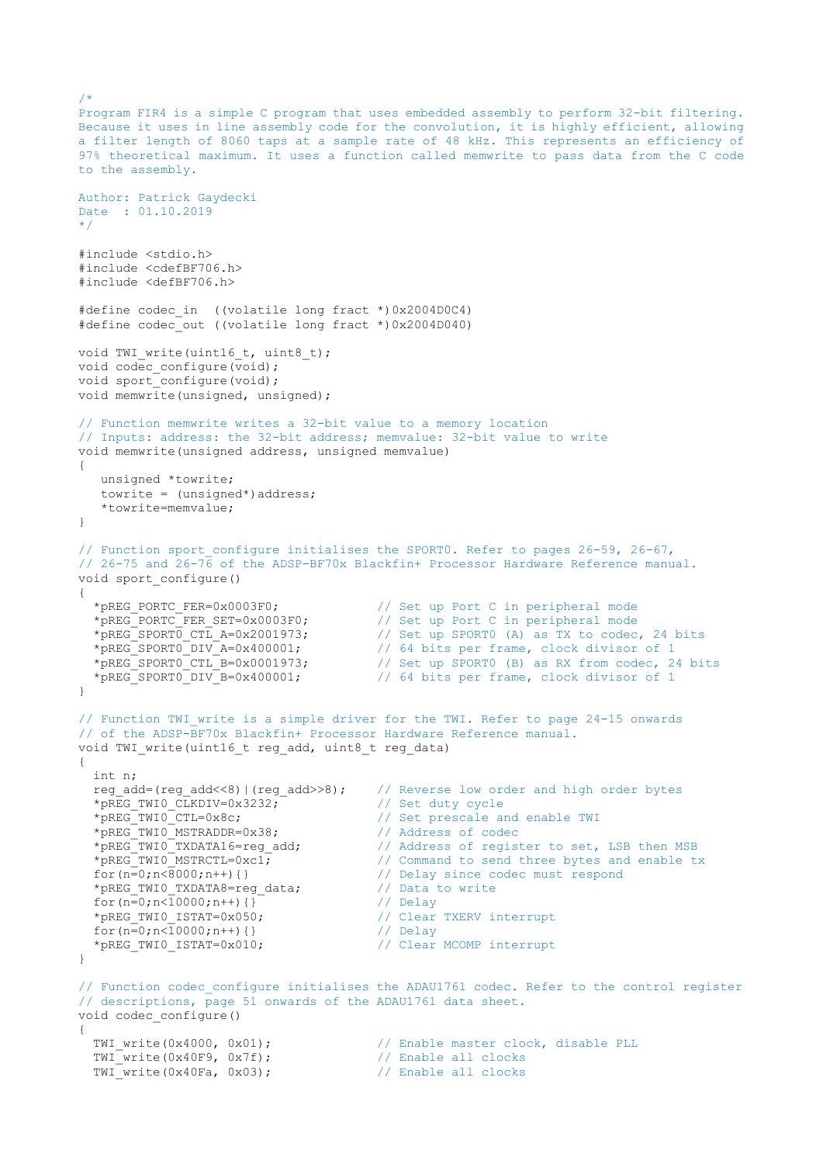```
Program FIR4 is a simple C program that uses embedded assembly to perform 32-bit filtering.
Because it uses in line assembly code for the convolution, it is highly efficient, allowing
a filter length of 8060 taps at a sample rate of 48 kHz. This represents an efficiency of 
97% theoretical maximum. It uses a function called memwrite to pass data from the C code 
to the assembly.
Author: Patrick Gaydecki
Date : 01.10.2019
*/
#include <stdio.h>
#include <cdefBF706.h>
#include <defBF706.h>
#define codec_in ((volatile long fract *)0x2004D0C4)
#define codec_out ((volatile long fract *)0x2004D040)
void TWI write(uint16 t, uint8 t);
void codec_configure(void);
void sport_configure(void);
void memwrite(unsigned, unsigned);
// Function memwrite writes a 32-bit value to a memory location
// Inputs: address: the 32-bit address; memvalue: 32-bit value to write
void memwrite(unsigned address, unsigned memvalue)
{
    unsigned *towrite;
   towrite = (unsigned*) address;
    *towrite=memvalue;
}
// Function sport configure initialises the SPORT0. Refer to pages 26-59, 26-67,
// 26-75 and 26-76 of the ADSP-BF70x Blackfin+ Processor Hardware Reference manual.
void sport_configure()
{
*pREG_PORTC_FER=0x0003F0; // Set up Port C in peripheral mode
 *pREG_PORTC_FER_SET=0x0003F0; // Set up Port C in peripheral mode
  *pREG_PORTC_FER=0x0003F0;<br>
*pREG_PORTC_FER_SET=0x0003F0;<br>
*pREG_SPORTO_CTL_A=0x2001973;<br>
*pREG_SPORT0 DIV A=0x400001;<br>
// 64 bits per frame, clock divisor of 1
                                             // 64 bits per frame, clock divisor of 1
  *^{pREG\_SPORT0\_CTL_B=0x0001973}; // Set up SPORTO (B) as RX from codec, 24 bits<br>*_{pREG\_SPORT0\_DIV_B=0x400001}; // 64 bits per frame, clock divisor of 1
                                             // 64 bits per frame, clock divisor of 1
}
// Function TWI write is a simple driver for the TWI. Refer to page 24-15 onwards
// of the ADSP-BF70x Blackfin+ Processor Hardware Reference manual.
void TWI write(uint16 t reg add, uint8 t reg data)
{
   int n;
  reg_add=(reg_add<<8)|(reg_add>>8); // Reverse low order and high order bytes
  *pREG_TWI0_CLKDIV=0x3232; \overline{'} // Set duty cycle
  *pREG_TWI0_CTL=0x8c;<br>*pREG_TWI0_MSTRADDR=0x38;<br>// Address of codec
  *pREG_TWI0_MSTRADDR=0x38;<br>*pREG_TWI0_TXDATA16=reg_add;<br>*pREG_TWI0_MSTRCTL=0xc1;
                                             // Address of register to set, LSB then MSB
*pREG_TWI0_MSTRCTL=0xc1; \frac{1}{2} // Command to send three bytes and enable tx
 for(n=0;n<8000;n++){} // Delay since codec must respond
  *pREG_TWI0_TXDATA8=reg_data; \frac{1}{2} // Data to write<br>for (n=0;n<10000;n++) {} // Delay
  for(n=0; n<10000; n++) { }<br>
*pREG_TWIO_ISTAT=0x050;<br>
for(n=0; n<10000; n++) { }<br>
*pREG_TWIO_ISTAT=0x010;<br>
*pREG_TWIO_ISTAT=0x010;<br>
// Clear MCOMP interrupt<br>
// Clear MCOMP interrupt
  *pREG_TWI0_ISTAT=0x050;
 for(n=0;n<10000;n++){} // Delay
 *pREG_TWI0_ISTAT=0x010; // Clear MCOMP interrupt
}
// Function codec configure initialises the ADAU1761 codec. Refer to the control register
// descriptions, page 51 onwards of the ADAU1761 data sheet.
void codec_configure()
{
  TWI write(0x4000, 0x01); \frac{1}{2} // Enable master clock, disable PLL
  TWI_write(0x40F9, 0x7f);<br>TWI_write(0x40F9, 0x7f);<br>TWI_write(0x40F9, 0x02);<br>TWI_write(0x40F9, 0x02);
  TWI write(0x40Fa, 0x03); \sqrt{2} Enable all clocks
```
 $/$ \*